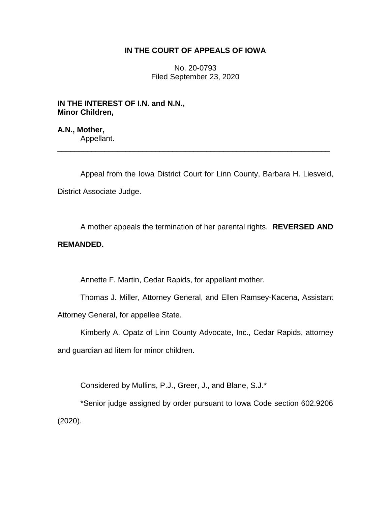# **IN THE COURT OF APPEALS OF IOWA**

No. 20-0793 Filed September 23, 2020

**IN THE INTEREST OF I.N. and N.N., Minor Children,**

**A.N., Mother,** Appellant.

Appeal from the Iowa District Court for Linn County, Barbara H. Liesveld, District Associate Judge.

\_\_\_\_\_\_\_\_\_\_\_\_\_\_\_\_\_\_\_\_\_\_\_\_\_\_\_\_\_\_\_\_\_\_\_\_\_\_\_\_\_\_\_\_\_\_\_\_\_\_\_\_\_\_\_\_\_\_\_\_\_\_\_\_

A mother appeals the termination of her parental rights. **REVERSED AND** 

# **REMANDED.**

Annette F. Martin, Cedar Rapids, for appellant mother.

Thomas J. Miller, Attorney General, and Ellen Ramsey-Kacena, Assistant Attorney General, for appellee State.

Kimberly A. Opatz of Linn County Advocate, Inc., Cedar Rapids, attorney and guardian ad litem for minor children.

Considered by Mullins, P.J., Greer, J., and Blane, S.J.\*

\*Senior judge assigned by order pursuant to Iowa Code section 602.9206 (2020).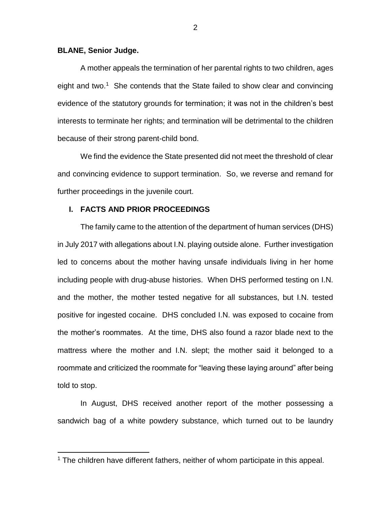## **BLANE, Senior Judge.**

 $\overline{a}$ 

A mother appeals the termination of her parental rights to two children, ages eight and two.<sup>1</sup> She contends that the State failed to show clear and convincing evidence of the statutory grounds for termination; it was not in the children's best interests to terminate her rights; and termination will be detrimental to the children because of their strong parent-child bond.

We find the evidence the State presented did not meet the threshold of clear and convincing evidence to support termination. So, we reverse and remand for further proceedings in the juvenile court.

# **I. FACTS AND PRIOR PROCEEDINGS**

The family came to the attention of the department of human services (DHS) in July 2017 with allegations about I.N. playing outside alone. Further investigation led to concerns about the mother having unsafe individuals living in her home including people with drug-abuse histories. When DHS performed testing on I.N. and the mother, the mother tested negative for all substances, but I.N. tested positive for ingested cocaine. DHS concluded I.N. was exposed to cocaine from the mother's roommates. At the time, DHS also found a razor blade next to the mattress where the mother and I.N. slept; the mother said it belonged to a roommate and criticized the roommate for "leaving these laying around" after being told to stop.

In August, DHS received another report of the mother possessing a sandwich bag of a white powdery substance, which turned out to be laundry

<sup>&</sup>lt;sup>1</sup> The children have different fathers, neither of whom participate in this appeal.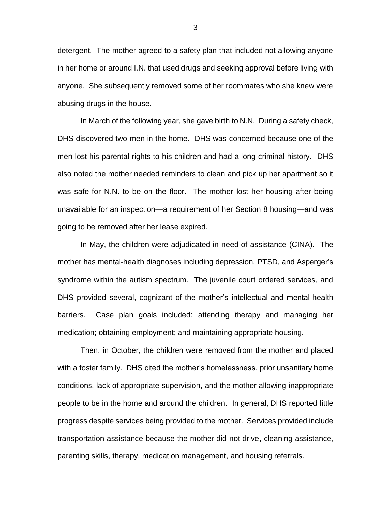detergent. The mother agreed to a safety plan that included not allowing anyone in her home or around I.N. that used drugs and seeking approval before living with anyone. She subsequently removed some of her roommates who she knew were abusing drugs in the house.

In March of the following year, she gave birth to N.N. During a safety check, DHS discovered two men in the home. DHS was concerned because one of the men lost his parental rights to his children and had a long criminal history. DHS also noted the mother needed reminders to clean and pick up her apartment so it was safe for N.N. to be on the floor. The mother lost her housing after being unavailable for an inspection—a requirement of her Section 8 housing—and was going to be removed after her lease expired.

In May, the children were adjudicated in need of assistance (CINA). The mother has mental-health diagnoses including depression, PTSD, and Asperger's syndrome within the autism spectrum. The juvenile court ordered services, and DHS provided several, cognizant of the mother's intellectual and mental-health barriers. Case plan goals included: attending therapy and managing her medication; obtaining employment; and maintaining appropriate housing.

Then, in October, the children were removed from the mother and placed with a foster family. DHS cited the mother's homelessness, prior unsanitary home conditions, lack of appropriate supervision, and the mother allowing inappropriate people to be in the home and around the children. In general, DHS reported little progress despite services being provided to the mother. Services provided include transportation assistance because the mother did not drive, cleaning assistance, parenting skills, therapy, medication management, and housing referrals.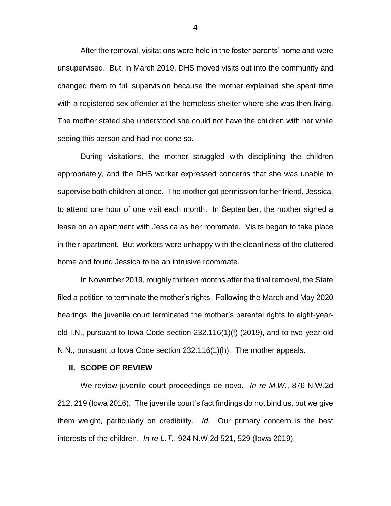After the removal, visitations were held in the foster parents' home and were unsupervised. But, in March 2019, DHS moved visits out into the community and changed them to full supervision because the mother explained she spent time with a registered sex offender at the homeless shelter where she was then living. The mother stated she understood she could not have the children with her while seeing this person and had not done so.

During visitations, the mother struggled with disciplining the children appropriately, and the DHS worker expressed concerns that she was unable to supervise both children at once. The mother got permission for her friend, Jessica, to attend one hour of one visit each month. In September, the mother signed a lease on an apartment with Jessica as her roommate. Visits began to take place in their apartment. But workers were unhappy with the cleanliness of the cluttered home and found Jessica to be an intrusive roommate.

In November 2019, roughly thirteen months after the final removal, the State filed a petition to terminate the mother's rights. Following the March and May 2020 hearings, the juvenile court terminated the mother's parental rights to eight-yearold I.N., pursuant to Iowa Code section 232.116(1)(f) (2019), and to two-year-old N.N., pursuant to Iowa Code section 232.116(1)(h). The mother appeals.

#### **II. SCOPE OF REVIEW**

We review juvenile court proceedings de novo. *In re M.W.*, 876 N.W.2d 212, 219 (Iowa 2016). The juvenile court's fact findings do not bind us, but we give them weight, particularly on credibility. *Id.* Our primary concern is the best interests of the children. *In re L.T.*, 924 N.W.2d 521, 529 (Iowa 2019).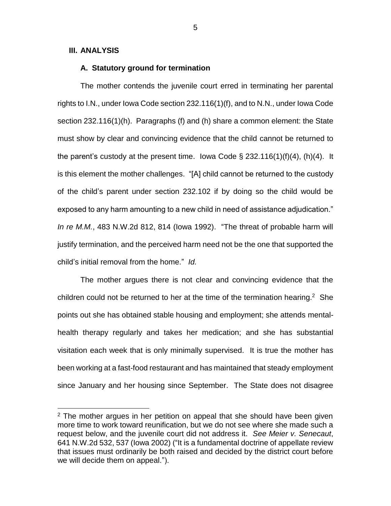# **III. ANALYSIS**

 $\overline{a}$ 

## **A. Statutory ground for termination**

The mother contends the juvenile court erred in terminating her parental rights to I.N., under Iowa Code section 232.116(1)(f), and to N.N., under Iowa Code section 232.116(1)(h). Paragraphs (f) and (h) share a common element: the State must show by clear and convincing evidence that the child cannot be returned to the parent's custody at the present time. Iowa Code § 232.116(1)(f)(4), (h)(4). It is this element the mother challenges. "[A] child cannot be returned to the custody of the child's parent under section 232.102 if by doing so the child would be exposed to any harm amounting to a new child in need of assistance adjudication." *In re M.M.*, 483 N.W.2d 812, 814 (Iowa 1992). "The threat of probable harm will justify termination, and the perceived harm need not be the one that supported the child's initial removal from the home." *Id.*

The mother argues there is not clear and convincing evidence that the children could not be returned to her at the time of the termination hearing.<sup>2</sup> She points out she has obtained stable housing and employment; she attends mentalhealth therapy regularly and takes her medication; and she has substantial visitation each week that is only minimally supervised. It is true the mother has been working at a fast-food restaurant and has maintained that steady employment since January and her housing since September. The State does not disagree

 $2$  The mother argues in her petition on appeal that she should have been given more time to work toward reunification, but we do not see where she made such a request below, and the juvenile court did not address it. *See Meier v. Senecaut*, 641 N.W.2d 532, 537 (Iowa 2002) ("It is a fundamental doctrine of appellate review that issues must ordinarily be both raised and decided by the district court before we will decide them on appeal.").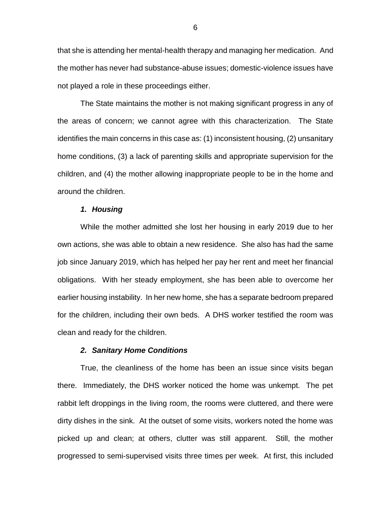that she is attending her mental-health therapy and managing her medication. And the mother has never had substance-abuse issues; domestic-violence issues have not played a role in these proceedings either.

The State maintains the mother is not making significant progress in any of the areas of concern; we cannot agree with this characterization. The State identifies the main concerns in this case as: (1) inconsistent housing, (2) unsanitary home conditions, (3) a lack of parenting skills and appropriate supervision for the children, and (4) the mother allowing inappropriate people to be in the home and around the children.

#### *1. Housing*

While the mother admitted she lost her housing in early 2019 due to her own actions, she was able to obtain a new residence. She also has had the same job since January 2019, which has helped her pay her rent and meet her financial obligations. With her steady employment, she has been able to overcome her earlier housing instability. In her new home, she has a separate bedroom prepared for the children, including their own beds. A DHS worker testified the room was clean and ready for the children.

## *2. Sanitary Home Conditions*

True, the cleanliness of the home has been an issue since visits began there. Immediately, the DHS worker noticed the home was unkempt. The pet rabbit left droppings in the living room, the rooms were cluttered, and there were dirty dishes in the sink. At the outset of some visits, workers noted the home was picked up and clean; at others, clutter was still apparent. Still, the mother progressed to semi-supervised visits three times per week. At first, this included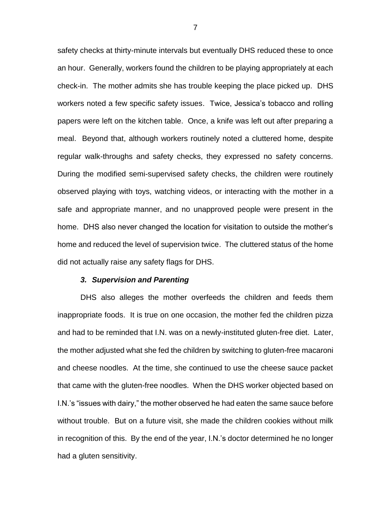safety checks at thirty-minute intervals but eventually DHS reduced these to once an hour. Generally, workers found the children to be playing appropriately at each check-in. The mother admits she has trouble keeping the place picked up. DHS workers noted a few specific safety issues. Twice, Jessica's tobacco and rolling papers were left on the kitchen table. Once, a knife was left out after preparing a meal. Beyond that, although workers routinely noted a cluttered home, despite regular walk-throughs and safety checks, they expressed no safety concerns. During the modified semi-supervised safety checks, the children were routinely observed playing with toys, watching videos, or interacting with the mother in a safe and appropriate manner, and no unapproved people were present in the home. DHS also never changed the location for visitation to outside the mother's home and reduced the level of supervision twice. The cluttered status of the home did not actually raise any safety flags for DHS.

### *3. Supervision and Parenting*

DHS also alleges the mother overfeeds the children and feeds them inappropriate foods. It is true on one occasion, the mother fed the children pizza and had to be reminded that I.N. was on a newly-instituted gluten-free diet. Later, the mother adjusted what she fed the children by switching to gluten-free macaroni and cheese noodles. At the time, she continued to use the cheese sauce packet that came with the gluten-free noodles. When the DHS worker objected based on I.N.'s "issues with dairy," the mother observed he had eaten the same sauce before without trouble. But on a future visit, she made the children cookies without milk in recognition of this. By the end of the year, I.N.'s doctor determined he no longer had a gluten sensitivity.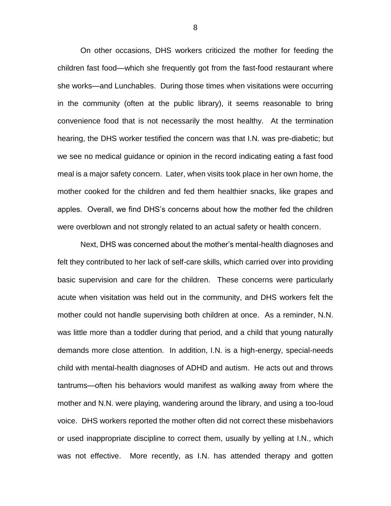On other occasions, DHS workers criticized the mother for feeding the children fast food—which she frequently got from the fast-food restaurant where she works—and Lunchables. During those times when visitations were occurring in the community (often at the public library), it seems reasonable to bring convenience food that is not necessarily the most healthy. At the termination hearing, the DHS worker testified the concern was that I.N. was pre-diabetic; but we see no medical guidance or opinion in the record indicating eating a fast food meal is a major safety concern. Later, when visits took place in her own home, the mother cooked for the children and fed them healthier snacks, like grapes and apples. Overall, we find DHS's concerns about how the mother fed the children were overblown and not strongly related to an actual safety or health concern.

Next, DHS was concerned about the mother's mental-health diagnoses and felt they contributed to her lack of self-care skills, which carried over into providing basic supervision and care for the children. These concerns were particularly acute when visitation was held out in the community, and DHS workers felt the mother could not handle supervising both children at once. As a reminder, N.N. was little more than a toddler during that period, and a child that young naturally demands more close attention. In addition, I.N. is a high-energy, special-needs child with mental-health diagnoses of ADHD and autism. He acts out and throws tantrums—often his behaviors would manifest as walking away from where the mother and N.N. were playing, wandering around the library, and using a too-loud voice. DHS workers reported the mother often did not correct these misbehaviors or used inappropriate discipline to correct them, usually by yelling at I.N., which was not effective. More recently, as I.N. has attended therapy and gotten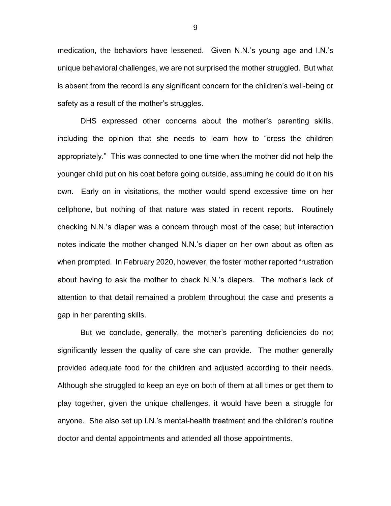medication, the behaviors have lessened. Given N.N.'s young age and I.N.'s unique behavioral challenges, we are not surprised the mother struggled. But what is absent from the record is any significant concern for the children's well-being or safety as a result of the mother's struggles.

DHS expressed other concerns about the mother's parenting skills, including the opinion that she needs to learn how to "dress the children appropriately." This was connected to one time when the mother did not help the younger child put on his coat before going outside, assuming he could do it on his own. Early on in visitations, the mother would spend excessive time on her cellphone, but nothing of that nature was stated in recent reports. Routinely checking N.N.'s diaper was a concern through most of the case; but interaction notes indicate the mother changed N.N.'s diaper on her own about as often as when prompted. In February 2020, however, the foster mother reported frustration about having to ask the mother to check N.N.'s diapers. The mother's lack of attention to that detail remained a problem throughout the case and presents a gap in her parenting skills.

But we conclude, generally, the mother's parenting deficiencies do not significantly lessen the quality of care she can provide. The mother generally provided adequate food for the children and adjusted according to their needs. Although she struggled to keep an eye on both of them at all times or get them to play together, given the unique challenges, it would have been a struggle for anyone. She also set up I.N.'s mental-health treatment and the children's routine doctor and dental appointments and attended all those appointments.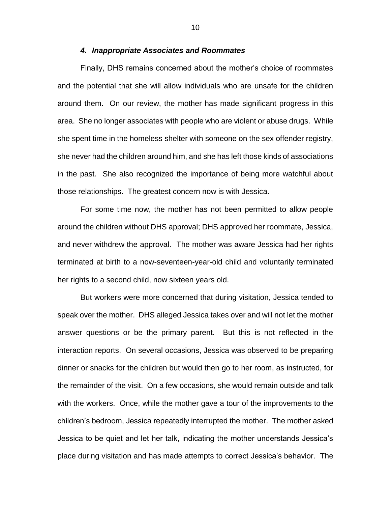### *4. Inappropriate Associates and Roommates*

Finally, DHS remains concerned about the mother's choice of roommates and the potential that she will allow individuals who are unsafe for the children around them. On our review, the mother has made significant progress in this area. She no longer associates with people who are violent or abuse drugs. While she spent time in the homeless shelter with someone on the sex offender registry, she never had the children around him, and she has left those kinds of associations in the past. She also recognized the importance of being more watchful about those relationships. The greatest concern now is with Jessica.

For some time now, the mother has not been permitted to allow people around the children without DHS approval; DHS approved her roommate, Jessica, and never withdrew the approval. The mother was aware Jessica had her rights terminated at birth to a now-seventeen-year-old child and voluntarily terminated her rights to a second child, now sixteen years old.

But workers were more concerned that during visitation, Jessica tended to speak over the mother. DHS alleged Jessica takes over and will not let the mother answer questions or be the primary parent. But this is not reflected in the interaction reports. On several occasions, Jessica was observed to be preparing dinner or snacks for the children but would then go to her room, as instructed, for the remainder of the visit. On a few occasions, she would remain outside and talk with the workers. Once, while the mother gave a tour of the improvements to the children's bedroom, Jessica repeatedly interrupted the mother. The mother asked Jessica to be quiet and let her talk, indicating the mother understands Jessica's place during visitation and has made attempts to correct Jessica's behavior. The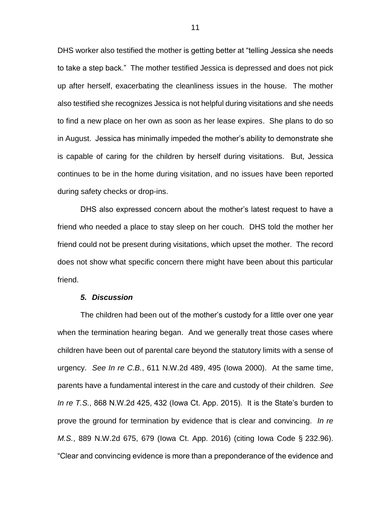DHS worker also testified the mother is getting better at "telling Jessica she needs to take a step back." The mother testified Jessica is depressed and does not pick up after herself, exacerbating the cleanliness issues in the house. The mother also testified she recognizes Jessica is not helpful during visitations and she needs to find a new place on her own as soon as her lease expires. She plans to do so in August. Jessica has minimally impeded the mother's ability to demonstrate she is capable of caring for the children by herself during visitations. But, Jessica continues to be in the home during visitation, and no issues have been reported during safety checks or drop-ins.

DHS also expressed concern about the mother's latest request to have a friend who needed a place to stay sleep on her couch. DHS told the mother her friend could not be present during visitations, which upset the mother. The record does not show what specific concern there might have been about this particular friend.

#### *5. Discussion*

The children had been out of the mother's custody for a little over one year when the termination hearing began. And we generally treat those cases where children have been out of parental care beyond the statutory limits with a sense of urgency. *See In re C.B.*, 611 N.W.2d 489, 495 (Iowa 2000). At the same time, parents have a fundamental interest in the care and custody of their children. *See In re T.S.*, 868 N.W.2d 425, 432 (Iowa Ct. App. 2015). It is the State's burden to prove the ground for termination by evidence that is clear and convincing. *In re M.S.*, 889 N.W.2d 675, 679 (Iowa Ct. App. 2016) (citing Iowa Code § 232.96). "Clear and convincing evidence is more than a preponderance of the evidence and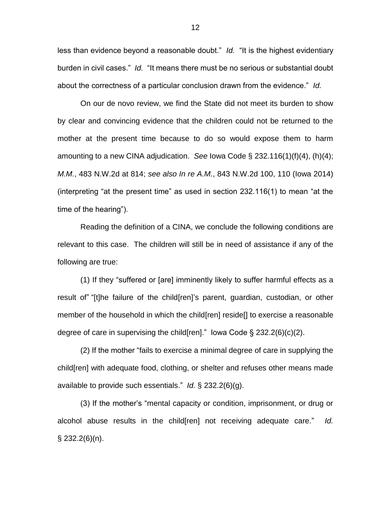less than evidence beyond a reasonable doubt." *Id.* "It is the highest evidentiary burden in civil cases." *Id.* "It means there must be no serious or substantial doubt about the correctness of a particular conclusion drawn from the evidence." *Id.*

On our de novo review, we find the State did not meet its burden to show by clear and convincing evidence that the children could not be returned to the mother at the present time because to do so would expose them to harm amounting to a new CINA adjudication. *See* Iowa Code § 232.116(1)(f)(4), (h)(4); *M.M.*, 483 N.W.2d at 814; *see also In re A.M.*, 843 N.W.2d 100, 110 (Iowa 2014) (interpreting "at the present time" as used in section 232.116(1) to mean "at the time of the hearing").

Reading the definition of a CINA, we conclude the following conditions are relevant to this case. The children will still be in need of assistance if any of the following are true:

(1) If they "suffered or [are] imminently likely to suffer harmful effects as a result of" "[t]he failure of the child[ren]'s parent, guardian, custodian, or other member of the household in which the child[ren] reside[] to exercise a reasonable degree of care in supervising the child [ren]." lowa Code  $\S 232.2(6)(c)(2)$ .

(2) If the mother "fails to exercise a minimal degree of care in supplying the child[ren] with adequate food, clothing, or shelter and refuses other means made available to provide such essentials." *Id.* § 232.2(6)(g).

(3) If the mother's "mental capacity or condition, imprisonment, or drug or alcohol abuse results in the child[ren] not receiving adequate care." *Id.*  $\S$  232.2(6)(n).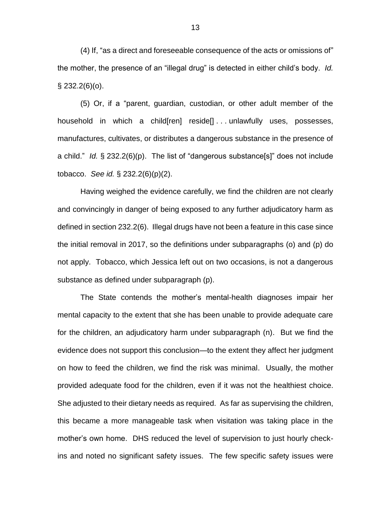(4) If, "as a direct and foreseeable consequence of the acts or omissions of" the mother, the presence of an "illegal drug" is detected in either child's body. *Id.*  $\S$  232.2(6)(o).

(5) Or, if a "parent, guardian, custodian, or other adult member of the household in which a child[ren] reside[] . . . unlawfully uses, possesses, manufactures, cultivates, or distributes a dangerous substance in the presence of a child." *Id.* § 232.2(6)(p). The list of "dangerous substance[s]" does not include tobacco. *See id.* § 232.2(6)(p)(2).

Having weighed the evidence carefully, we find the children are not clearly and convincingly in danger of being exposed to any further adjudicatory harm as defined in section 232.2(6). Illegal drugs have not been a feature in this case since the initial removal in 2017, so the definitions under subparagraphs (o) and (p) do not apply. Tobacco, which Jessica left out on two occasions, is not a dangerous substance as defined under subparagraph (p).

The State contends the mother's mental-health diagnoses impair her mental capacity to the extent that she has been unable to provide adequate care for the children, an adjudicatory harm under subparagraph (n). But we find the evidence does not support this conclusion—to the extent they affect her judgment on how to feed the children, we find the risk was minimal. Usually, the mother provided adequate food for the children, even if it was not the healthiest choice. She adjusted to their dietary needs as required. As far as supervising the children, this became a more manageable task when visitation was taking place in the mother's own home. DHS reduced the level of supervision to just hourly checkins and noted no significant safety issues. The few specific safety issues were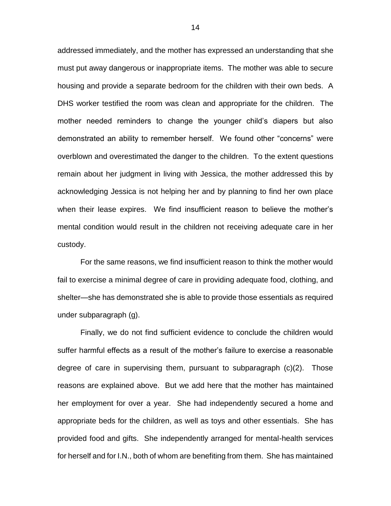addressed immediately, and the mother has expressed an understanding that she must put away dangerous or inappropriate items. The mother was able to secure housing and provide a separate bedroom for the children with their own beds. A DHS worker testified the room was clean and appropriate for the children. The mother needed reminders to change the younger child's diapers but also demonstrated an ability to remember herself. We found other "concerns" were overblown and overestimated the danger to the children. To the extent questions remain about her judgment in living with Jessica, the mother addressed this by acknowledging Jessica is not helping her and by planning to find her own place when their lease expires. We find insufficient reason to believe the mother's mental condition would result in the children not receiving adequate care in her custody.

For the same reasons, we find insufficient reason to think the mother would fail to exercise a minimal degree of care in providing adequate food, clothing, and shelter—she has demonstrated she is able to provide those essentials as required under subparagraph (g).

Finally, we do not find sufficient evidence to conclude the children would suffer harmful effects as a result of the mother's failure to exercise a reasonable degree of care in supervising them, pursuant to subparagraph (c)(2). Those reasons are explained above. But we add here that the mother has maintained her employment for over a year. She had independently secured a home and appropriate beds for the children, as well as toys and other essentials. She has provided food and gifts. She independently arranged for mental-health services for herself and for I.N., both of whom are benefiting from them. She has maintained